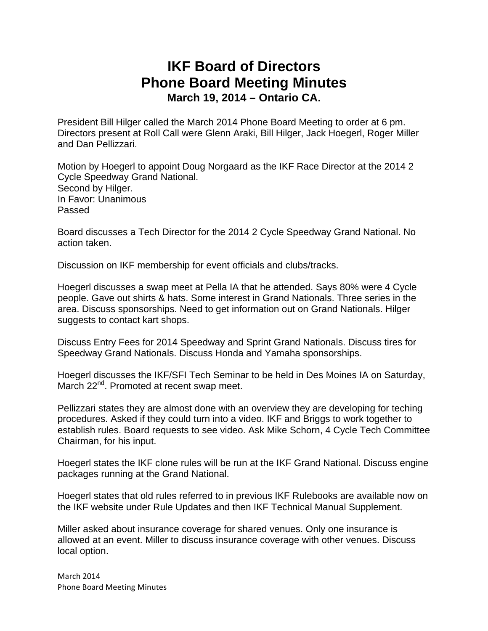## **IKF Board of Directors Phone Board Meeting Minutes March 19, 2014 – Ontario CA.**

President Bill Hilger called the March 2014 Phone Board Meeting to order at 6 pm. Directors present at Roll Call were Glenn Araki, Bill Hilger, Jack Hoegerl, Roger Miller and Dan Pellizzari.

Motion by Hoegerl to appoint Doug Norgaard as the IKF Race Director at the 2014 2 Cycle Speedway Grand National. Second by Hilger. In Favor: Unanimous Passed

Board discusses a Tech Director for the 2014 2 Cycle Speedway Grand National. No action taken.

Discussion on IKF membership for event officials and clubs/tracks.

Hoegerl discusses a swap meet at Pella IA that he attended. Says 80% were 4 Cycle people. Gave out shirts & hats. Some interest in Grand Nationals. Three series in the area. Discuss sponsorships. Need to get information out on Grand Nationals. Hilger suggests to contact kart shops.

Discuss Entry Fees for 2014 Speedway and Sprint Grand Nationals. Discuss tires for Speedway Grand Nationals. Discuss Honda and Yamaha sponsorships.

Hoegerl discusses the IKF/SFI Tech Seminar to be held in Des Moines IA on Saturday, March 22<sup>nd</sup>. Promoted at recent swap meet.

Pellizzari states they are almost done with an overview they are developing for teching procedures. Asked if they could turn into a video. IKF and Briggs to work together to establish rules. Board requests to see video. Ask Mike Schorn, 4 Cycle Tech Committee Chairman, for his input.

Hoegerl states the IKF clone rules will be run at the IKF Grand National. Discuss engine packages running at the Grand National.

Hoegerl states that old rules referred to in previous IKF Rulebooks are available now on the IKF website under Rule Updates and then IKF Technical Manual Supplement.

Miller asked about insurance coverage for shared venues. Only one insurance is allowed at an event. Miller to discuss insurance coverage with other venues. Discuss local option.

March 2014 Phone Board Meeting Minutes